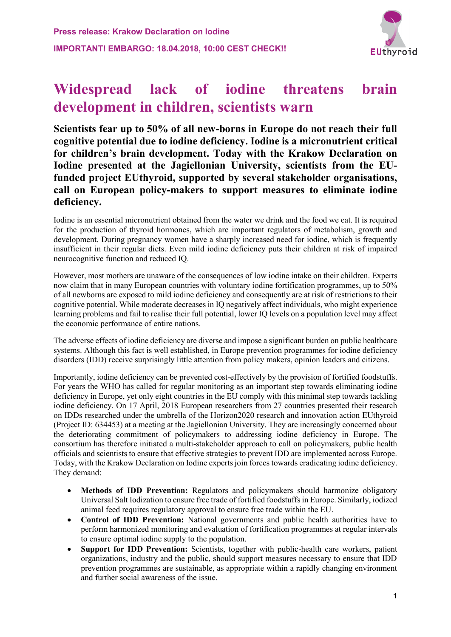

# **Widespread lack of iodine threatens brain development in children, scientists warn**

**Scientists fear up to 50% of all new-borns in Europe do not reach their full cognitive potential due to iodine deficiency. Iodine is a micronutrient critical for children's brain development. Today with the Krakow Declaration on Iodine presented at the Jagiellonian University, scientists from the EUfunded project EUthyroid, supported by several stakeholder organisations, call on European policy-makers to support measures to eliminate iodine deficiency.**

Iodine is an essential micronutrient obtained from the water we drink and the food we eat. It is required for the production of thyroid hormones, which are important regulators of metabolism, growth and development. During pregnancy women have a sharply increased need for iodine, which is frequently insufficient in their regular diets. Even mild iodine deficiency puts their children at risk of impaired neurocognitive function and reduced IQ.

However, most mothers are unaware of the consequences of low iodine intake on their children. Experts now claim that in many European countries with voluntary iodine fortification programmes, up to 50% of all newborns are exposed to mild iodine deficiency and consequently are at risk of restrictions to their cognitive potential. While moderate decreases in IQ negatively affect individuals, who might experience learning problems and fail to realise their full potential, lower IQ levels on a population level may affect the economic performance of entire nations.

The adverse effects of iodine deficiency are diverse and impose a significant burden on public healthcare systems. Although this fact is well established, in Europe prevention programmes for iodine deficiency disorders (IDD) receive surprisingly little attention from policy makers, opinion leaders and citizens.

Importantly, iodine deficiency can be prevented cost-effectively by the provision of fortified foodstuffs. For years the WHO has called for regular monitoring as an important step towards eliminating iodine deficiency in Europe, yet only eight countries in the EU comply with this minimal step towards tackling iodine deficiency. On 17 April, 2018 European researchers from 27 countries presented their research on IDDs researched under the umbrella of the Horizon2020 research and innovation action EUthyroid (Project ID: 634453) at a meeting at the Jagiellonian University. They are increasingly concerned about the deteriorating commitment of policymakers to addressing iodine deficiency in Europe. The consortium has therefore initiated a multi-stakeholder approach to call on policymakers, public health officials and scientists to ensure that effective strategies to prevent IDD are implemented across Europe. Today, with the Krakow Declaration on Iodine expertsjoin forces towards eradicating iodine deficiency. They demand:

- **Methods of IDD Prevention:** Regulators and policymakers should harmonize obligatory Universal Salt Iodization to ensure free trade of fortified foodstuffs in Europe. Similarly, iodized animal feed requires regulatory approval to ensure free trade within the EU.
- **Control of IDD Prevention:** National governments and public health authorities have to perform harmonized monitoring and evaluation of fortification programmes at regular intervals to ensure optimal iodine supply to the population.
- **Support for IDD Prevention:** Scientists, together with public-health care workers, patient organizations, industry and the public, should support measures necessary to ensure that IDD prevention programmes are sustainable, as appropriate within a rapidly changing environment and further social awareness of the issue.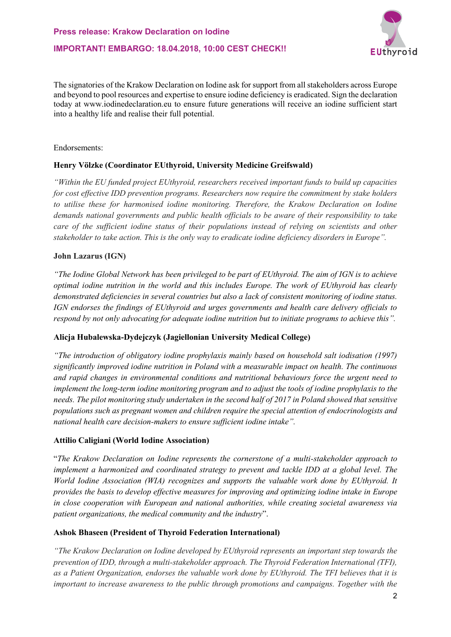**IMPORTANT! EMBARGO: 18.04.2018, 10:00 CEST CHECK!!**



The signatories of the Krakow Declaration on Iodine ask for support from all stakeholders across Europe and beyond to pool resources and expertise to ensure iodine deficiency is eradicated. Sign the declaration today at www.iodinedeclaration.eu to ensure future generations will receive an iodine sufficient start into a healthy life and realise their full potential.

### Endorsements:

# **Henry Völzke (Coordinator EUthyroid, University Medicine Greifswald)**

*"Within the EU funded project EUthyroid, researchers received important funds to build up capacities for cost effective IDD prevention programs. Researchers now require the commitment by stake holders to utilise these for harmonised iodine monitoring. Therefore, the Krakow Declaration on Iodine demands national governments and public health officials to be aware of their responsibility to take care of the sufficient iodine status of their populations instead of relying on scientists and other stakeholder to take action. This is the only way to eradicate iodine deficiency disorders in Europe".*

# **John Lazarus (IGN)**

*"The Iodine Global Network has been privileged to be part of EUthyroid. The aim of IGN is to achieve optimal iodine nutrition in the world and this includes Europe. The work of EUthyroid has clearly demonstrated deficiencies in several countries but also a lack of consistent monitoring of iodine status. IGN endorses the findings of EUthyroid and urges governments and health care delivery officials to respond by not only advocating for adequate iodine nutrition but to initiate programs to achieve this".*

# **Alicja Hubalewska-Dydejczyk (Jagiellonian University Medical College)**

*"The introduction of obligatory iodine prophylaxis mainly based on household salt iodisation (1997) significantly improved iodine nutrition in Poland with a measurable impact on health. The continuous and rapid changes in environmental conditions and nutritional behaviours force the urgent need to implement the long-term iodine monitoring program and to adjust the tools of iodine prophylaxis to the needs. The pilot monitoring study undertaken in the second half of 2017 in Poland showed that sensitive populations such as pregnant women and children require the special attention of endocrinologists and national health care decision-makers to ensure sufficient iodine intake".*

# **Attilio Caligiani (World Iodine Association)**

"*The Krakow Declaration on Iodine represents the cornerstone of a multi-stakeholder approach to implement a harmonized and coordinated strategy to prevent and tackle IDD at a global level. The World Iodine Association (WIA) recognizes and supports the valuable work done by EUthyroid. It provides the basis to develop effective measures for improving and optimizing iodine intake in Europe in close cooperation with European and national authorities, while creating societal awareness via patient organizations, the medical community and the industry*".

# **Ashok Bhaseen (President of Thyroid Federation International)**

*"The Krakow Declaration on Iodine developed by EUthyroid represents an important step towards the prevention of IDD, through a multi-stakeholder approach. The Thyroid Federation International (TFI), as a Patient Organization, endorses the valuable work done by EUthyroid. The TFI believes that it is important to increase awareness to the public through promotions and campaigns. Together with the*